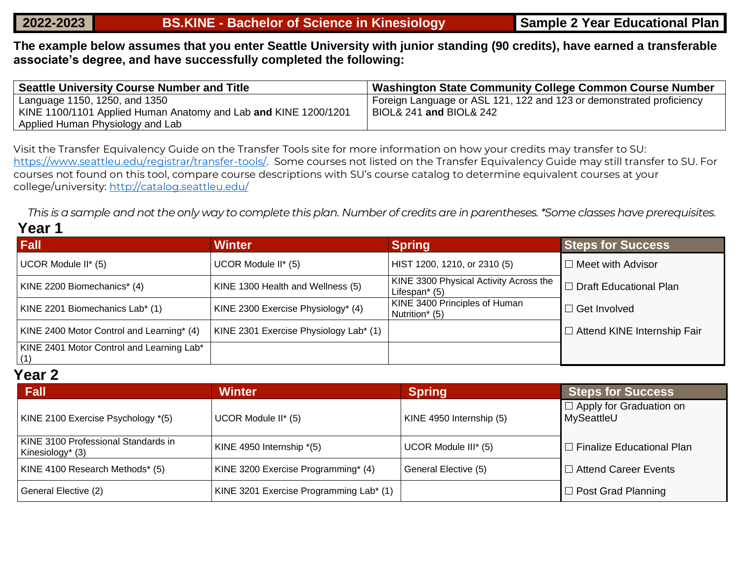**The example below assumes that you enter Seattle University with junior standing (90 credits), have earned a transferable associate's degree, and have successfully completed the following:**

| <b>Seattle University Course Number and Title</b>               | Washington State Community College Common Course Number              |
|-----------------------------------------------------------------|----------------------------------------------------------------------|
| Language 1150, 1250, and 1350                                   | Foreign Language or ASL 121, 122 and 123 or demonstrated proficiency |
| KINE 1100/1101 Applied Human Anatomy and Lab and KINE 1200/1201 | BIOL& 241 and BIOL& 242                                              |
| Applied Human Physiology and Lab                                |                                                                      |

Visit the Transfer Equivalency Guide on the Transfer Tools site for more information on how your credits may transfer to SU: [https://www.seattleu.edu/registrar/transfer-tools/.](https://www.seattleu.edu/registrar/transfer-tools/) Some courses not listed on the Transfer Equivalency Guide may still transfer to SU. For courses not found on this tool, compare course descriptions with SU's course catalog to determine equivalent courses at your college/university:<http://catalog.seattleu.edu/>

*This is a sample and not the only way to complete this plan. Number of credits are in parentheses. \*Some classes have prerequisites.*

## **Year 1**

| <b>Fall</b>                                      | <b>Winter</b>                          | <b>Spring</b>                                              | <b>Steps for Success</b>           |
|--------------------------------------------------|----------------------------------------|------------------------------------------------------------|------------------------------------|
| UCOR Module II* (5)                              | UCOR Module II* (5)                    | HIST 1200, 1210, or 2310 (5)                               | $\Box$ Meet with Advisor           |
| KINE 2200 Biomechanics* (4)                      | KINE 1300 Health and Wellness (5)      | KINE 3300 Physical Activity Across the<br>Lifespan $*$ (5) | $\Box$ Draft Educational Plan      |
| KINE 2201 Biomechanics Lab* (1)                  | KINE 2300 Exercise Physiology* (4)     | KINE 3400 Principles of Human<br>Nutrition* (5)            | $\Box$ Get Involved                |
| KINE 2400 Motor Control and Learning* (4)        | KINE 2301 Exercise Physiology Lab* (1) |                                                            | $\Box$ Attend KINE Internship Fair |
| KINE 2401 Motor Control and Learning Lab*<br>(1) |                                        |                                                            |                                    |

## **Year 2**

| Fall                                                    | <b>Winter</b>                           | Spring                   | <b>Steps for Success</b>                     |
|---------------------------------------------------------|-----------------------------------------|--------------------------|----------------------------------------------|
| KINE 2100 Exercise Psychology *(5)                      | UCOR Module II* (5)                     | KINE 4950 Internship (5) | $\Box$ Apply for Graduation on<br>MySeattleU |
| KINE 3100 Professional Standards in<br>Kinesiology* (3) | KINE 4950 Internship *(5)               | UCOR Module III* (5)     | $\Box$ Finalize Educational Plan             |
| KINE 4100 Research Methods* (5)                         | KINE 3200 Exercise Programming* (4)     | General Elective (5)     | $\Box$ Attend Career Events                  |
| General Elective (2)                                    | KINE 3201 Exercise Programming Lab* (1) |                          | $\Box$ Post Grad Planning                    |